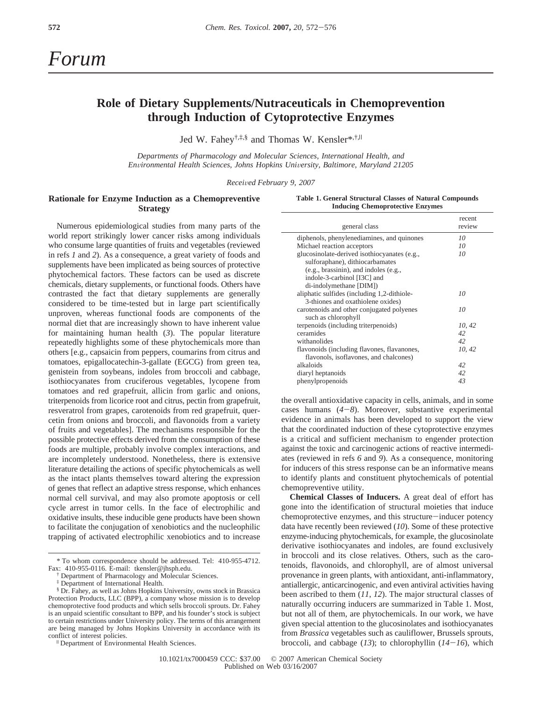# *Forum*

## **Role of Dietary Supplements/Nutraceuticals in Chemoprevention through Induction of Cytoprotective Enzymes**

Jed W. Fahey<sup>†,‡,§</sup> and Thomas W. Kensler\*,<sup>†,||</sup>

*Departments of Pharmacology and Molecular Sciences, International Health, and Environmental Health Sciences, Johns Hopkins University, Baltimore, Maryland 21205* 

*Recei*V*ed February 9, 2007*

### **Rationale for Enzyme Induction as a Chemopreventive Strategy**

Numerous epidemiological studies from many parts of the world report strikingly lower cancer risks among individuals who consume large quantities of fruits and vegetables (reviewed in refs *1* and *2*). As a consequence, a great variety of foods and supplements have been implicated as being sources of protective phytochemical factors. These factors can be used as discrete chemicals, dietary supplements, or functional foods. Others have contrasted the fact that dietary supplements are generally considered to be time-tested but in large part scientifically unproven, whereas functional foods are components of the normal diet that are increasingly shown to have inherent value for maintaining human health (*3*). The popular literature repeatedly highlights some of these phytochemicals more than others [e.g., capsaicin from peppers, coumarins from citrus and tomatoes, epigallocatechin-3-gallate (EGCG) from green tea, genistein from soybeans, indoles from broccoli and cabbage, isothiocyanates from cruciferous vegetables, lycopene from tomatoes and red grapefruit, allicin from garlic and onions, triterpenoids from licorice root and citrus, pectin from grapefruit, resveratrol from grapes, carotenoids from red grapefruit, quercetin from onions and broccoli, and flavonoids from a variety of fruits and vegetables]. The mechanisms responsible for the possible protective effects derived from the consumption of these foods are multiple, probably involve complex interactions, and are incompletely understood. Nonetheless, there is extensive literature detailing the actions of specific phytochemicals as well as the intact plants themselves toward altering the expression of genes that reflect an adaptive stress response, which enhances normal cell survival, and may also promote apoptosis or cell cycle arrest in tumor cells. In the face of electrophilic and oxidative insults, these inducible gene products have been shown to facilitate the conjugation of xenobiotics and the nucleophilic trapping of activated electrophilic xenobiotics and to increase

|                                         |  |  |  |  |  |  |  | Table 1. General Structural Classes of Natural Compounds |
|-----------------------------------------|--|--|--|--|--|--|--|----------------------------------------------------------|
| <b>Inducing Chemoprotective Enzymes</b> |  |  |  |  |  |  |  |                                                          |

|                                              | recent |
|----------------------------------------------|--------|
| general class                                | review |
| diphenols, phenylenediamines, and quinones   | 10     |
| Michael reaction acceptors                   | 10     |
| glucosinolate-derived isothiocyanates (e.g., | 10     |
| sulforaphane), dithiocarbamates              |        |
| (e.g., brassinin), and indoles (e.g.,        |        |
| indole-3-carbinol [I3C] and                  |        |
| di-indolymethane [DIM])                      |        |
| aliphatic sulfides (including 1,2-dithiole-  | 10     |
| 3-thiones and oxathiolene oxides)            |        |
| carotenoids and other conjugated polyenes    | 10     |
| such as chlorophyll                          |        |
| terpenoids (including triterpenoids)         | 10, 42 |
| ceramides                                    | 42     |
| withanolides                                 | 42     |
| flavonoids (including flavones, flavanones,  | 10, 42 |
| flavonols, isoflavones, and chalcones)       |        |
| alkaloids                                    | 42     |
| diaryl heptanoids                            | 42     |
| phenylpropenoids                             | 43     |

the overall antioxidative capacity in cells, animals, and in some cases humans (*4*-*8*). Moreover, substantive experimental evidence in animals has been developed to support the view that the coordinated induction of these cytoprotective enzymes is a critical and sufficient mechanism to engender protection against the toxic and carcinogenic actions of reactive intermediates (reviewed in refs *6* and *9*). As a consequence, monitoring for inducers of this stress response can be an informative means to identify plants and constituent phytochemicals of potential chemopreventive utility.

**Chemical Classes of Inducers.** A great deal of effort has gone into the identification of structural moieties that induce chemoprotective enzymes, and this structure-inducer potency data have recently been reviewed (*10*). Some of these protective enzyme-inducing phytochemicals, for example, the glucosinolate derivative isothiocyanates and indoles, are found exclusively in broccoli and its close relatives. Others, such as the carotenoids, flavonoids, and chlorophyll, are of almost universal provenance in green plants, with antioxidant, anti-inflammatory, antiallergic, anticarcinogenic, and even antiviral activities having been ascribed to them (*11*, *12*). The major structural classes of naturally occurring inducers are summarized in Table 1. Most, but not all of them, are phytochemicals. In our work, we have given special attention to the glucosinolates and isothiocyanates from *Brassica* vegetables such as cauliflower, Brussels sprouts, broccoli, and cabbage (*13*); to chlorophyllin (*14*-*16*), which

<sup>\*</sup> To whom correspondence should be addressed. Tel: 410-955-4712. Fax: 410-955-0116. E-mail: tkensler@jhsph.edu.

Department of Pharmacology and Molecular Sciences.

<sup>‡</sup> Department of International Health.

<sup>§</sup> Dr. Fahey, as well as Johns Hopkins University, owns stock in Brassica Protection Products, LLC (BPP), a company whose mission is to develop chemoprotective food products and which sells broccoli sprouts. Dr. Fahey is an unpaid scientific consultant to BPP, and his founder's stock is subject to certain restrictions under University policy. The terms of this arrangement are being managed by Johns Hopkins University in accordance with its conflict of interest policies.

<sup>&</sup>lt;sup>II</sup> Department of Environmental Health Sciences.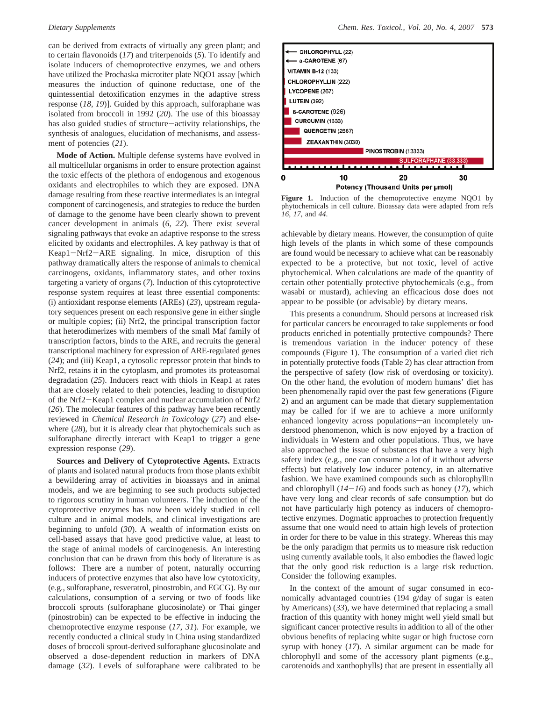can be derived from extracts of virtually any green plant; and to certain flavonoids (*17*) and triterpenoids (*5*). To identify and isolate inducers of chemoprotective enzymes, we and others have utilized the Prochaska microtiter plate NQO1 assay [which measures the induction of quinone reductase, one of the quintessential detoxification enzymes in the adaptive stress response (*18*, *19*)]. Guided by this approach, sulforaphane was isolated from broccoli in 1992 (*20*). The use of this bioassay has also guided studies of structure-activity relationships, the synthesis of analogues, elucidation of mechanisms, and assessment of potencies (*21*).

**Mode of Action.** Multiple defense systems have evolved in all multicellular organisms in order to ensure protection against the toxic effects of the plethora of endogenous and exogenous oxidants and electrophiles to which they are exposed. DNA damage resulting from these reactive intermediates is an integral component of carcinogenesis, and strategies to reduce the burden of damage to the genome have been clearly shown to prevent cancer development in animals (*6*, *22*). There exist several signaling pathways that evoke an adaptive response to the stress elicited by oxidants and electrophiles. A key pathway is that of Keap1-Nrf2-ARE signaling. In mice, disruption of this pathway dramatically alters the response of animals to chemical carcinogens, oxidants, inflammatory states, and other toxins targeting a variety of organs (*7*). Induction of this cytoprotective response system requires at least three essential components: (i) antioxidant response elements (AREs) (*23*), upstream regulatory sequences present on each responsive gene in either single or multiple copies; (ii) Nrf2, the principal transcription factor that heterodimerizes with members of the small Maf family of transcription factors, binds to the ARE, and recruits the general transcriptional machinery for expression of ARE-regulated genes (*24*); and (iii) Keap1, a cytosolic repressor protein that binds to Nrf2, retains it in the cytoplasm, and promotes its proteasomal degradation (*25*). Inducers react with thiols in Keap1 at rates that are closely related to their potencies, leading to disruption of the Nrf2-Keap1 complex and nuclear accumulation of Nrf2 (*26*). The molecular features of this pathway have been recently reviewed in *Chemical Research in Toxicology* (*27*) and elsewhere (*28*), but it is already clear that phytochemicals such as sulforaphane directly interact with Keap1 to trigger a gene expression response (*29*).

**Sources and Delivery of Cytoprotective Agents.** Extracts of plants and isolated natural products from those plants exhibit a bewildering array of activities in bioassays and in animal models, and we are beginning to see such products subjected to rigorous scrutiny in human volunteers. The induction of the cytoprotective enzymes has now been widely studied in cell culture and in animal models, and clinical investigations are beginning to unfold (*30*). A wealth of information exists on cell-based assays that have good predictive value, at least to the stage of animal models of carcinogenesis. An interesting conclusion that can be drawn from this body of literature is as follows: There are a number of potent, naturally occurring inducers of protective enzymes that also have low cytotoxicity, (e.g., sulforaphane, resveratrol, pinostrobin, and EGCG). By our calculations, consumption of a serving or two of foods like broccoli sprouts (sulforaphane glucosinolate) or Thai ginger (pinostrobin) can be expected to be effective in inducing the chemoprotective enzyme response (*17*, *31*). For example, we recently conducted a clinical study in China using standardized doses of broccoli sprout-derived sulforaphane glucosinolate and observed a dose-dependent reduction in markers of DNA damage (*32*). Levels of sulforaphane were calibrated to be



**Figure 1.** Induction of the chemoprotective enzyme NQO1 by phytochemicals in cell culture. Bioassay data were adapted from refs *16*, *17*, and *44*.

achievable by dietary means. However, the consumption of quite high levels of the plants in which some of these compounds are found would be necessary to achieve what can be reasonably expected to be a protective, but not toxic, level of active phytochemical. When calculations are made of the quantity of certain other potentially protective phytochemicals (e.g., from wasabi or mustard), achieving an efficacious dose does not appear to be possible (or advisable) by dietary means.

This presents a conundrum. Should persons at increased risk for particular cancers be encouraged to take supplements or food products enriched in potentially protective compounds? There is tremendous variation in the inducer potency of these compounds (Figure 1). The consumption of a varied diet rich in potentially protective foods (Table 2) has clear attraction from the perspective of safety (low risk of overdosing or toxicity). On the other hand, the evolution of modern humans' diet has been phenomenally rapid over the past few generations (Figure 2) and an argument can be made that dietary supplementation may be called for if we are to achieve a more uniformly enhanced longevity across populations—an incompletely understood phenomenon, which is now enjoyed by a fraction of individuals in Western and other populations. Thus, we have also approached the issue of substances that have a very high safety index (e.g., one can consume a lot of it without adverse effects) but relatively low inducer potency, in an alternative fashion. We have examined compounds such as chlorophyllin and chlorophyll  $(14-16)$  and foods such as honey  $(17)$ , which have very long and clear records of safe consumption but do not have particularly high potency as inducers of chemoprotective enzymes. Dogmatic approaches to protection frequently assume that one would need to attain high levels of protection in order for there to be value in this strategy. Whereas this may be the only paradigm that permits us to measure risk reduction using currently available tools, it also embodies the flawed logic that the only good risk reduction is a large risk reduction. Consider the following examples.

In the context of the amount of sugar consumed in economically advantaged countries (194 g/day of sugar is eaten by Americans) (*33*), we have determined that replacing a small fraction of this quantity with honey might well yield small but significant cancer protective results in addition to all of the other obvious benefits of replacing white sugar or high fructose corn syrup with honey (*17*). A similar argument can be made for chlorophyll and some of the accessory plant pigments (e.g., carotenoids and xanthophylls) that are present in essentially all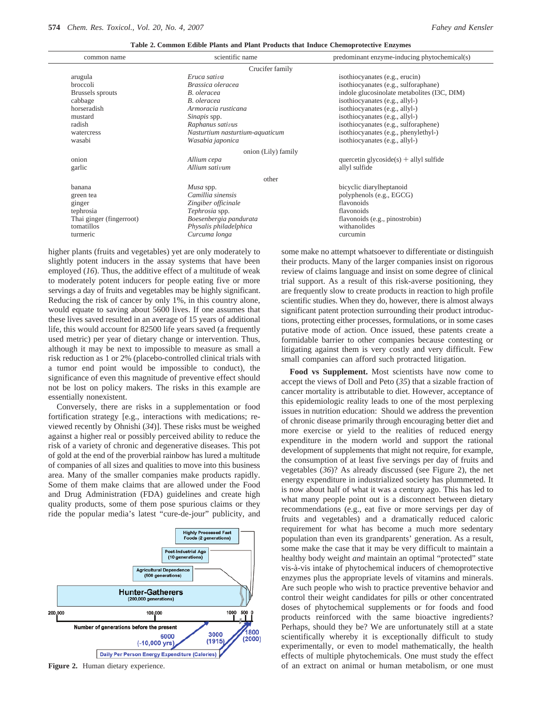| common name              | scientific name                 | predominant enzyme-inducing phytochemical(s) |  |  |  |  |  |  |
|--------------------------|---------------------------------|----------------------------------------------|--|--|--|--|--|--|
| Crucifer family          |                                 |                                              |  |  |  |  |  |  |
| arugula                  | Eruca sativa                    | isothiocyanates (e.g., erucin)               |  |  |  |  |  |  |
| broccoli                 | Brassica oleracea               | isothiocyanates (e.g., sulforaphane)         |  |  |  |  |  |  |
| Brussels sprouts         | B. oleracea                     | indole glucosinolate metabolites (I3C, DIM)  |  |  |  |  |  |  |
| cabbage                  | B. oleracea                     | isothiocyanates (e.g., allyl-)               |  |  |  |  |  |  |
| horseradish              | Armoracia rusticana             | isothiocyanates (e.g., allyl-)               |  |  |  |  |  |  |
| mustard                  | Sinapis spp.                    | isothiocyanates (e.g., allyl-)               |  |  |  |  |  |  |
| radish                   | Raphanus sativus                | isothiocyanates (e.g., sulforaphene)         |  |  |  |  |  |  |
| watercress               | Nasturtium nasturtium-aquaticum | isothiocyanates (e.g., phenylethyl-)         |  |  |  |  |  |  |
| wasabi                   | Wasabia japonica                | isothiocyanates (e.g., allyl-)               |  |  |  |  |  |  |
| onion (Lily) family      |                                 |                                              |  |  |  |  |  |  |
| onion                    | Allium cepa                     | quercetin glycoside(s) $+$ allyl sulfide     |  |  |  |  |  |  |
| garlic                   | Allium sativum                  | allyl sulfide                                |  |  |  |  |  |  |
|                          | other                           |                                              |  |  |  |  |  |  |
| banana                   | Musa spp.                       | bicyclic diarylheptanoid                     |  |  |  |  |  |  |
| green tea                | Camillia sinensis               | polyphenols (e.g., EGCG)                     |  |  |  |  |  |  |
| ginger                   | Zingiber officinale             | flavonoids                                   |  |  |  |  |  |  |
| tephrosia                | Tephrosia spp.                  | flavonoids                                   |  |  |  |  |  |  |
| Thai ginger (fingerroot) | Boesenbergia pandurata          | flavonoids (e.g., pinostrobin)               |  |  |  |  |  |  |
| tomatillos               | Physalis philadelphica          | withanolides                                 |  |  |  |  |  |  |
| turmeric                 | Curcuma longa                   | curcumin                                     |  |  |  |  |  |  |
|                          |                                 |                                              |  |  |  |  |  |  |

**Table 2. Common Edible Plants and Plant Products that Induce Chemoprotective Enzymes**

higher plants (fruits and vegetables) yet are only moderately to slightly potent inducers in the assay systems that have been employed (*16*). Thus, the additive effect of a multitude of weak to moderately potent inducers for people eating five or more servings a day of fruits and vegetables may be highly significant. Reducing the risk of cancer by only 1%, in this country alone, would equate to saving about 5600 lives. If one assumes that these lives saved resulted in an average of 15 years of additional life, this would account for 82500 life years saved (a frequently used metric) per year of dietary change or intervention. Thus, although it may be next to impossible to measure as small a risk reduction as 1 or 2% (placebo-controlled clinical trials with a tumor end point would be impossible to conduct), the significance of even this magnitude of preventive effect should not be lost on policy makers. The risks in this example are essentially nonexistent.

Conversely, there are risks in a supplementation or food fortification strategy [e.g., interactions with medications; reviewed recently by Ohnishi (*34*)]. These risks must be weighed against a higher real or possibly perceived ability to reduce the risk of a variety of chronic and degenerative diseases. This pot of gold at the end of the proverbial rainbow has lured a multitude of companies of all sizes and qualities to move into this business area. Many of the smaller companies make products rapidly. Some of them make claims that are allowed under the Food and Drug Administration (FDA) guidelines and create high quality products, some of them pose spurious claims or they ride the popular media's latest "cure-de-jour" publicity, and



**Figure 2.** Human dietary experience.

some make no attempt whatsoever to differentiate or distinguish their products. Many of the larger companies insist on rigorous review of claims language and insist on some degree of clinical trial support. As a result of this risk-averse positioning, they are frequently slow to create products in reaction to high profile scientific studies. When they do, however, there is almost always significant patent protection surrounding their product introductions, protecting either processes, formulations, or in some cases putative mode of action. Once issued, these patents create a formidable barrier to other companies because contesting or litigating against them is very costly and very difficult. Few small companies can afford such protracted litigation.

**Food vs Supplement.** Most scientists have now come to accept the views of Doll and Peto (*35*) that a sizable fraction of cancer mortality is attributable to diet. However, acceptance of this epidemiologic reality leads to one of the most perplexing issues in nutrition education: Should we address the prevention of chronic disease primarily through encouraging better diet and more exercise or yield to the realities of reduced energy expenditure in the modern world and support the rational development of supplements that might not require, for example, the consumption of at least five servings per day of fruits and vegetables (*36*)? As already discussed (see Figure 2), the net energy expenditure in industrialized society has plummeted. It is now about half of what it was a century ago. This has led to what many people point out is a disconnect between dietary recommendations (e.g., eat five or more servings per day of fruits and vegetables) and a dramatically reduced caloric requirement for what has become a much more sedentary population than even its grandparents' generation. As a result, some make the case that it may be very difficult to maintain a healthy body weight *and* maintain an optimal "protected" state vis-a`-vis intake of phytochemical inducers of chemoprotective enzymes plus the appropriate levels of vitamins and minerals. Are such people who wish to practice preventive behavior and control their weight candidates for pills or other concentrated doses of phytochemical supplements or for foods and food products reinforced with the same bioactive ingredients? Perhaps, should they be? We are unfortunately still at a state scientifically whereby it is exceptionally difficult to study experimentally, or even to model mathematically, the health effects of multiple phytochemicals. One must study the effect of an extract on animal or human metabolism, or one must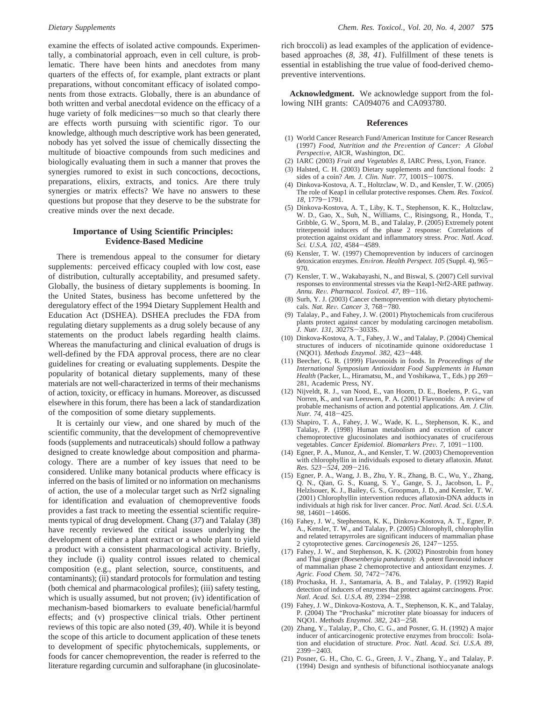examine the effects of isolated active compounds. Experimentally, a combinatorial approach, even in cell culture, is problematic. There have been hints and anecdotes from many quarters of the effects of, for example, plant extracts or plant preparations, without concomitant efficacy of isolated components from those extracts. Globally, there is an abundance of both written and verbal anecdotal evidence on the efficacy of a huge variety of folk medicines so much so that clearly there are effects worth pursuing with scientific rigor. To our knowledge, although much descriptive work has been generated, nobody has yet solved the issue of chemically dissecting the multitude of bioactive compounds from such medicines and biologically evaluating them in such a manner that proves the synergies rumored to exist in such concoctions, decoctions, preparations, elixirs, extracts, and tonics. Are there truly synergies or matrix effects? We have no answers to these questions but propose that they deserve to be the substrate for creative minds over the next decade.

#### **Importance of Using Scientific Principles: Evidence-Based Medicine**

There is tremendous appeal to the consumer for dietary supplements: perceived efficacy coupled with low cost, ease of distribution, culturally acceptability, and presumed safety. Globally, the business of dietary supplements is booming. In the United States, business has become unfettered by the deregulatory effect of the 1994 Dietary Supplement Health and Education Act (DSHEA). DSHEA precludes the FDA from regulating dietary supplements as a drug solely because of any statements on the product labels regarding health claims. Whereas the manufacturing and clinical evaluation of drugs is well-defined by the FDA approval process, there are no clear guidelines for creating or evaluating supplements. Despite the popularity of botanical dietary supplements, many of these materials are not well-characterized in terms of their mechanisms of action, toxicity, or efficacy in humans. Moreover, as discussed elsewhere in this forum, there has been a lack of standardization of the composition of some dietary supplements.

It is certainly our view, and one shared by much of the scientific community, that the development of chemopreventive foods (supplements and nutraceuticals) should follow a pathway designed to create knowledge about composition and pharmacology. There are a number of key issues that need to be considered. Unlike many botanical products where efficacy is inferred on the basis of limited or no information on mechanisms of action, the use of a molecular target such as Nrf2 signaling for identification and evaluation of chemopreventive foods provides a fast track to meeting the essential scientific requirements typical of drug development. Chang (*37*) and Talalay (*38*) have recently reviewed the critical issues underlying the development of either a plant extract or a whole plant to yield a product with a consistent pharmacological activity. Briefly, they include (i) quality control issues related to chemical composition (e.g., plant selection, source, constituents, and contaminants); (ii) standard protocols for formulation and testing (both chemical and pharmacological profiles); (iii) safety testing, which is usually assumed, but not proven; (iv) identification of mechanism-based biomarkers to evaluate beneficial/harmful effects; and (v) prospective clinical trials. Other pertinent reviews of this topic are also noted (*39*, *40*). While it is beyond the scope of this article to document application of these tenets to development of specific phytochemicals, supplements, or foods for cancer chemoprevention, the reader is referred to the literature regarding curcumin and sulforaphane (in glucosinolaterich broccoli) as lead examples of the application of evidencebased approaches (*8*, *38*, *41*). Fulfillment of these tenets is essential in establishing the true value of food-derived chemopreventive interventions.

**Acknowledgment.** We acknowledge support from the following NIH grants: CA094076 and CA093780.

#### **References**

- (1) World Cancer Research Fund/American Institute for Cancer Research (1997) *Food, Nutrition and the Pre*V*ention of Cancer: A Global Perspective*, AICR, Washington, DC.
- (2) IARC (2003) *Fruit and Vegetables 8*, IARC Press, Lyon, France.
- (3) Halsted, C. H. (2003) Dietary supplements and functional foods: 2 sides of a coin? *Am. J. Clin. Nutr. 77*, 1001S-1007S.
- (4) Dinkova-Kostova, A. T., Holtzclaw, W. D., and Kensler, T. W. (2005) The role of Keap1 in cellular protective responses. *Chem. Res. Toxicol.*<br>18 1779–1791
- *<sup>18</sup>*, 1779-1791. (5) Dinkova-Kostova, A. T., Liby, K. T., Stephenson, K. K., Holtzclaw, W. D., Gao, X., Suh, N., Williams, C., Risingsong, R., Honda, T., Gribble, G. W., Sporn, M. B., and Talalay, P. (2005) Extremely potent triterpenoid inducers of the phase 2 response: Correlations of protection against oxidant and inflammatory stress. *Proc. Natl. Acad.*
- *Sci. U.S.A. 102*, 4584-4589. (6) Kensler, T. W. (1997) Chemoprevention by inducers of carcinogen detoxication enzymes. *Environ. Health Perspect. 105* (Suppl. 4), 965-970.
- (7) Kensler, T. W., Wakabayashi, N., and Biswal, S. (2007) Cell survival responses to environmental stresses via the Keap1-Nrf2-ARE pathway. *Annu. Re*V*. Pharmacol. Toxicol. 47*, 89-116.
- (8) Surh, Y. J. (2003) Cancer chemoprevention with dietary phytochemicals. *Nat. Re*V*. Cancer 3*, 768-780.
- (9) Talalay, P., and Fahey, J. W. (2001) Phytochemicals from cruciferous plants protect against cancer by modulating carcinogen metabolism. *J. Nutr. 131*, 3027S-3033S.
- (10) Dinkova-Kostova, A. T., Fahey, J. W., and Talalay, P. (2004) Chemical structures of inducers of nicotinamide quinone oxidoreductase 1 (NQO1). *Methods Enzymol. 382*, 423-448.
- (11) Beecher, G. R. (1999) Flavonoids in foods. In *Proceedings of the International Symposium Antioxidant Food Supplements in Human Health* (Packer, L., Hiramatsu, M., and Yoshikawa, T., Eds.) pp 269- 281, Academic Press, NY.
- (12) Nijveldt, R. J., van Nood, E., van Hoorn, D. E., Boelens, P. G., van Norren, K., and van Leeuwen, P. A. (2001) Flavonoids: A review of probable mechanisms of action and potential applications. *Am. J. Clin. Nutr. 74*, 418-425.
- (13) Shapiro, T. A., Fahey, J. W., Wade, K. L., Stephenson, K. K., and Talalay, P. (1998) Human metabolism and excretion of cancer chemoprotective glucosinolates and isothiocyanates of cruciferous vegetables. *Cancer Epidemiol. Biomarkers Prev.* 7, 1091-1100.
- (14) Egner, P. A., Munoz, A., and Kensler, T. W. (2003) Chemoprevention with chlorophyllin in individuals exposed to dietary aflatoxin. *Mutat. Res. 523*-*524*, 209-216.
- (15) Egner, P. A., Wang, J. B., Zhu, Y. R., Zhang, B. C., Wu, Y., Zhang, Q. N., Qian, G. S., Kuang, S. Y., Gange, S. J., Jacobson, L. P., Helzlsouer, K. J., Bailey, G. S., Groopman, J. D., and Kensler, T. W. (2001) Chlorophyllin intervention reduces aflatoxin-DNA adducts in individuals at high risk for liver cancer. *Proc. Natl. Acad. Sci. U.S.A. <sup>98</sup>*, 14601-14606.
- (16) Fahey, J. W., Stephenson, K. K., Dinkova-Kostova, A. T., Egner, P. A., Kensler, T. W., and Talalay, P. (2005) Chlorophyll, chlorophyllin and related tetrapyrroles are significant inducers of mammalian phase 2 cytoprotective genes. *Carcinogenesis 26*, 1247-1255.
- (17) Fahey, J. W., and Stephenson, K. K. (2002) Pinostrobin from honey and Thai ginger (*Boesenbergia pandurata*): A potent flavonoid inducer of mammalian phase 2 chemoprotective and antioxidant enzymes. *J. Agric. Food Chem. 50*, 7472-7476.
- (18) Prochaska, H. J., Santamaria, A. B., and Talalay, P. (1992) Rapid detection of inducers of enzymes that protect against carcinogens. *Proc. Natl. Acad. Sci. U.S.A. 89*, 2394-2398.
- (19) Fahey, J. W., Dinkova-Kostova, A. T., Stephenson, K. K., and Talalay, P. (2004) The "Prochaska" microtiter plate bioassay for inducers of NQO1. *Methods Enzymol. 382*, 243-258.
- (20) Zhang, Y., Talalay, P., Cho, C. G., and Posner, G. H. (1992) A major inducer of anticarcinogenic protective enzymes from broccoli: Isolation and elucidation of structure. *Proc. Natl. Acad. Sci. U.S.A. 89*, <sup>2399</sup>-2403.
- (21) Posner, G. H., Cho, C. G., Green, J. V., Zhang, Y., and Talalay, P. (1994) Design and synthesis of bifunctional isothiocyanate analogs